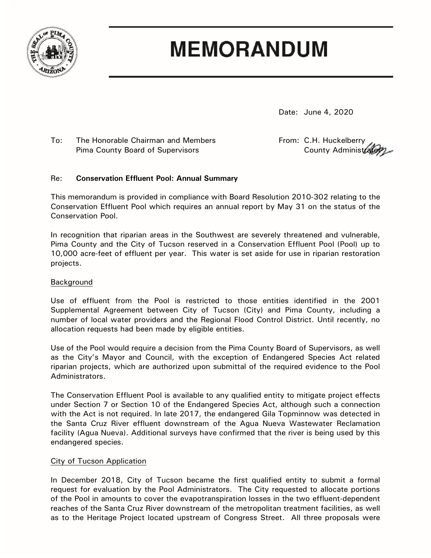

# **MEMORANDUM**

Date: June 4, 2020

To: The Honorable Chairman and Members From: C.H. Huckelberry<br>Pima County Board of Supervisors County Administratory Pima County Board of Supervisors

## Re: **Conservation Effluent Pool: Annual Summary**

This memorandum is provided in compliance with Board Resolution 2010-302 relating to the Conservation Effluent Pool which requires an annual report by May 31 on the status of the Conservation Pool.

In recognition that riparian areas in the Southwest are severely threatened and vulnerable, Pima County and the City of Tucson reserved in a Conservation Effluent Pool (Pool) up to 10,000 acre-feet of effluent per year. This water is set aside for use in riparian restoration projects.

## Background

Use of effluent from the Pool is restricted to those entities identified in the 2001 Supplemental Agreement between City of Tucson (City) and Pima County, including a number of local water providers and the Regional Flood Control District. Until recently, no allocation requests had been made by eligible entities.

Use of the Pool would require a decision from the Pima County Board of Supervisors, as well as the City's Mayor and Council, with the exception of Endangered Species Act related riparian projects, which are authorized upon submittal of the required evidence to the Pool Administrators.

The Conservation Effluent Pool is available to any qualified entity to mitigate project effects under Section 7 or Section 10 of the Endangered Species Act, although such a connection with the Act is not required. In late 2017, the endangered Gila Topminnow was detected in the Santa Cruz River effluent downstream of the Agua Nueva Wastewater Reclamation facility (Agua Nueva). Additional surveys have confirmed that the river is being used by this endangered species.

## City of Tucson Application

In December 2018, City of Tucson became the first qualified entity to submit a formal request for evaluation by the Pool Administrators. The City requested to allocate portions of the Pool in amounts to cover the evapotranspiration losses in the two effluent-dependent reaches of the Santa Cruz River downstream of the metropolitan treatment facilities, as well as to the Heritage Project located upstream of Congress Street. All three proposals were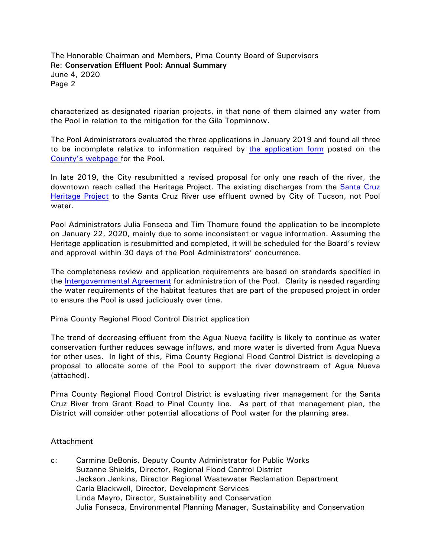The Honorable Chairman and Members, Pima County Board of Supervisors Re: **Conservation Effluent Pool: Annual Summary** June 4, 2020 Page 2

characterized as designated riparian projects, in that none of them claimed any water from the Pool in relation to the mitigation for the Gila Topminnow.

The Pool Administrators evaluated the three applications in January 2019 and found all three to be incomplete relative to information required by [the application form](https://webcms.pima.gov/UserFiles/Servers/Server_6/File/Government/Office%20of%20Sustainability%20and%20Conservation/Conservation%20Sciece/CEP/Conservation%20Effluent%20Pool%20User%20Application-draft_040115.pdf) posted on the [County's webpage f](http://webcms.pima.gov/cms/One.aspx?portalId=169&pageId=206994%20)or the Pool.

In late 2019, the City resubmitted a revised proposal for only one reach of the river, the downtown reach called the Heritage Project. The existing discharges from the [Santa Cruz](https://www.tucsonaz.gov/water/SCRHP)  [Heritage Project](https://www.tucsonaz.gov/water/SCRHP) to the Santa Cruz River use effluent owned by City of Tucson, not Pool water.

Pool Administrators Julia Fonseca and Tim Thomure found the application to be incomplete on January 22, 2020, mainly due to some inconsistent or vague information. Assuming the Heritage application is resubmitted and completed, it will be scheduled for the Board's review and approval within 30 days of the Pool Administrators' concurrence.

The completeness review and application requirements are based on standards specified in the [Intergovernmental Agreement](https://webcms.pima.gov/UserFiles/Servers/Server_6/File/Government/Office%20of%20Sustainability%20and%20Conservation/Conservation%20Sciece/CEP/IGA%20w-%20COT%20%20re-%20CEP%20Implementation%20(00138804xCDD05).pdf) for administration of the Pool. Clarity is needed regarding the water requirements of the habitat features that are part of the proposed project in order to ensure the Pool is used judiciously over time.

#### Pima County Regional Flood Control District application

The trend of decreasing effluent from the Agua Nueva facility is likely to continue as water conservation further reduces sewage inflows, and more water is diverted from Agua Nueva for other uses. In light of this, Pima County Regional Flood Control District is developing a proposal to allocate some of the Pool to support the river downstream of Agua Nueva (attached).

Pima County Regional Flood Control District is evaluating river management for the Santa Cruz River from Grant Road to Pinal County line. As part of that management plan, the District will consider other potential allocations of Pool water for the planning area.

#### Attachment

c: Carmine DeBonis, Deputy County Administrator for Public Works Suzanne Shields, Director, Regional Flood Control District Jackson Jenkins, Director Regional Wastewater Reclamation Department Carla Blackwell, Director, Development Services Linda Mayro, Director, Sustainability and Conservation Julia Fonseca, Environmental Planning Manager, Sustainability and Conservation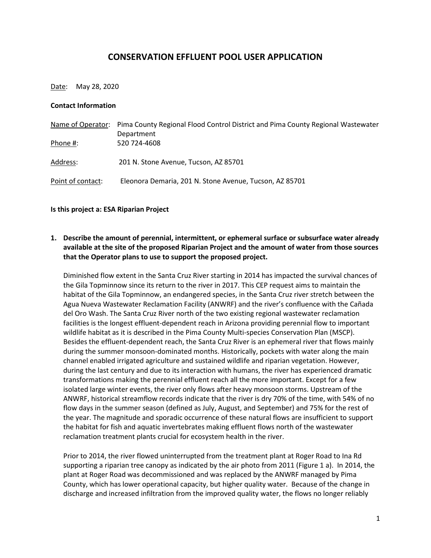## **CONSERVATION EFFLUENT POOL USER APPLICATION**

Date: May 28, 2020

#### **Contact Information**

|                   | Name of Operator: Pima County Regional Flood Control District and Pima County Regional Wastewater |  |
|-------------------|---------------------------------------------------------------------------------------------------|--|
|                   | Department                                                                                        |  |
| Phone #:          | 520 724-4608                                                                                      |  |
|                   |                                                                                                   |  |
| Address:          | 201 N. Stone Avenue, Tucson, AZ 85701                                                             |  |
|                   |                                                                                                   |  |
| Point of contact: | Eleonora Demaria, 201 N. Stone Avenue, Tucson, AZ 85701                                           |  |

#### **Is this project a: ESA Riparian Project**

## **1. Describe the amount of perennial, intermittent, or ephemeral surface or subsurface water already available at the site of the proposed Riparian Project and the amount of water from those sources that the Operator plans to use to support the proposed project.**

Diminished flow extent in the Santa Cruz River starting in 2014 has impacted the survival chances of the Gila Topminnow since its return to the river in 2017. This CEP request aims to maintain the habitat of the Gila Topminnow, an endangered species, in the Santa Cruz river stretch between the Agua Nueva Wastewater Reclamation Facility (ANWRF) and the river's confluence with the Cañada del Oro Wash. The Santa Cruz River north of the two existing regional wastewater reclamation facilities is the longest effluent-dependent reach in Arizona providing perennial flow to important wildlife habitat as it is described in the Pima County Multi-species Conservation Plan (MSCP). Besides the effluent-dependent reach, the Santa Cruz River is an ephemeral river that flows mainly during the summer monsoon-dominated months. Historically, pockets with water along the main channel enabled irrigated agriculture and sustained wildlife and riparian vegetation. However, during the last century and due to its interaction with humans, the river has experienced dramatic transformations making the perennial effluent reach all the more important. Except for a few isolated large winter events, the river only flows after heavy monsoon storms. Upstream of the ANWRF, historical streamflow records indicate that the river is dry 70% of the time, with 54% of no flow days in the summer season (defined as July, August, and September) and 75% for the rest of the year. The magnitude and sporadic occurrence of these natural flows are insufficient to support the habitat for fish and aquatic invertebrates making effluent flows north of the wastewater reclamation treatment plants crucial for ecosystem health in the river.

Prior to 2014, the river flowed uninterrupted from the treatment plant at Roger Road to Ina Rd supporting a riparian tree canopy as indicated by the air photo from 2011 (Figure 1 a). In 2014, the plant at Roger Road was decommissioned and was replaced by the ANWRF managed by Pima County, which has lower operational capacity, but higher quality water. Because of the change in discharge and increased infiltration from the improved quality water, the flows no longer reliably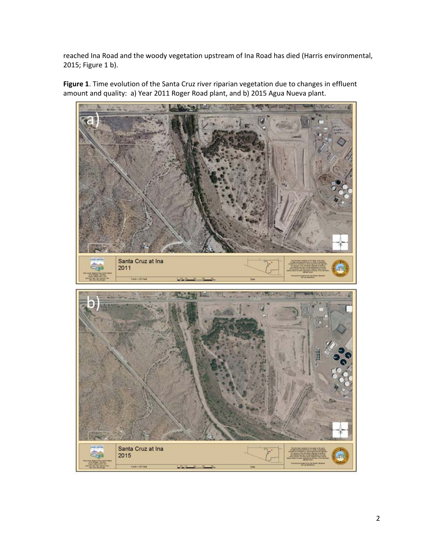reached Ina Road and the woody vegetation upstream of Ina Road has died (Harris environmental, 2015; Figure 1 b).

**Figure 1**. Time evolution of the Santa Cruz river riparian vegetation due to changes in effluent amount and quality: a) Year 2011 Roger Road plant, and b) 2015 Agua Nueva plant.

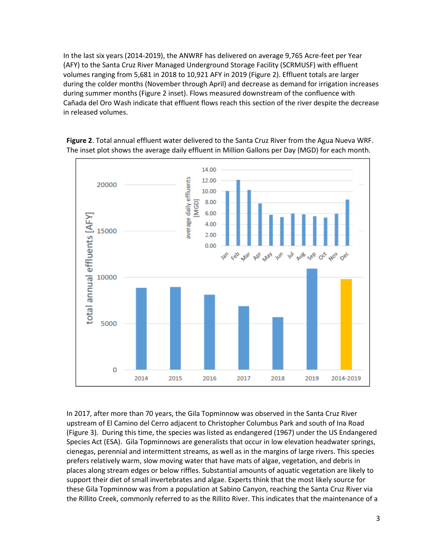In the last six years (2014-2019), the ANWRF has delivered on average 9,765 Acre-feet per Year (AFY) to the Santa Cruz River Managed Underground Storage Facility (SCRMUSF) with effluent volumes ranging from 5,681 in 2018 to 10,921 AFY in 2019 (Figure 2). Effluent totals are larger during the colder months (November through April) and decrease as demand for irrigation increases during summer months (Figure 2 inset). Flows measured downstream of the confluence with Cañada del Oro Wash indicate that effluent flows reach this section of the river despite the decrease in released volumes.



**Figure 2**. Total annual effluent water delivered to the Santa Cruz River from the Agua Nueva WRF. The inset plot shows the average daily effluent in Million Gallons per Day (MGD) for each month.

In 2017, after more than 70 years, the Gila Topminnow was observed in the Santa Cruz River upstream of El Camino del Cerro adjacent to Christopher Columbus Park and south of Ina Road (Figure 3). During this time, the species was listed as endangered (1967) under the US Endangered Species Act (ESA). Gila Topminnows are generalists that occur in low elevation headwater springs, cienegas, perennial and intermittent streams, as well as in the margins of large rivers. This species prefers relatively warm, slow moving water that have mats of algae, vegetation, and debris in places along stream edges or below riffles. Substantial amounts of aquatic vegetation are likely to support their diet of small invertebrates and algae. Experts think that the most likely source for these Gila Topminnow was from a population at Sabino Canyon, reaching the Santa Cruz River via the Rillito Creek, commonly referred to as the Rillito River. This indicates that the maintenance of a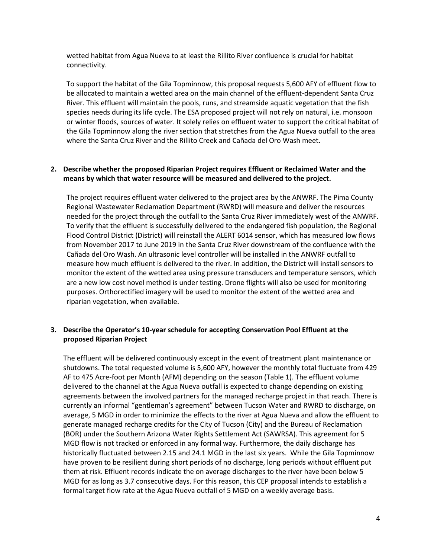wetted habitat from Agua Nueva to at least the Rillito River confluence is crucial for habitat connectivity.

To support the habitat of the Gila Topminnow, this proposal requests 5,600 AFY of effluent flow to be allocated to maintain a wetted area on the main channel of the effluent-dependent Santa Cruz River. This effluent will maintain the pools, runs, and streamside aquatic vegetation that the fish species needs during its life cycle. The ESA proposed project will not rely on natural, i.e. monsoon or winter floods, sources of water. It solely relies on effluent water to support the critical habitat of the Gila Topminnow along the river section that stretches from the Agua Nueva outfall to the area where the Santa Cruz River and the Rillito Creek and Cañada del Oro Wash meet.

#### **2. Describe whether the proposed Riparian Project requires Effluent or Reclaimed Water and the means by which that water resource will be measured and delivered to the project.**

The project requires effluent water delivered to the project area by the ANWRF. The Pima County Regional Wastewater Reclamation Department (RWRD) will measure and deliver the resources needed for the project through the outfall to the Santa Cruz River immediately west of the ANWRF. To verify that the effluent is successfully delivered to the endangered fish population, the Regional Flood Control District (District) will reinstall the ALERT 6014 sensor, which has measured low flows from November 2017 to June 2019 in the Santa Cruz River downstream of the confluence with the Cañada del Oro Wash. An ultrasonic level controller will be installed in the ANWRF outfall to measure how much effluent is delivered to the river. In addition, the District will install sensors to monitor the extent of the wetted area using pressure transducers and temperature sensors, which are a new low cost novel method is under testing. Drone flights will also be used for monitoring purposes. Orthorectified imagery will be used to monitor the extent of the wetted area and riparian vegetation, when available.

#### **3. Describe the Operator's 10-year schedule for accepting Conservation Pool Effluent at the proposed Riparian Project**

The effluent will be delivered continuously except in the event of treatment plant maintenance or shutdowns. The total requested volume is 5,600 AFY, however the monthly total fluctuate from 429 AF to 475 Acre-foot per Month (AFM) depending on the season (Table 1). The effluent volume delivered to the channel at the Agua Nueva outfall is expected to change depending on existing agreements between the involved partners for the managed recharge project in that reach. There is currently an informal "gentleman's agreement" between Tucson Water and RWRD to discharge, on average, 5 MGD in order to minimize the effects to the river at Agua Nueva and allow the effluent to generate managed recharge credits for the City of Tucson (City) and the Bureau of Reclamation (BOR) under the Southern Arizona Water Rights Settlement Act (SAWRSA). This agreement for 5 MGD flow is not tracked or enforced in any formal way. Furthermore, the daily discharge has historically fluctuated between 2.15 and 24.1 MGD in the last six years. While the Gila Topminnow have proven to be resilient during short periods of no discharge, long periods without effluent put them at risk. Effluent records indicate the on average discharges to the river have been below 5 MGD for as long as 3.7 consecutive days. For this reason, this CEP proposal intends to establish a formal target flow rate at the Agua Nueva outfall of 5 MGD on a weekly average basis.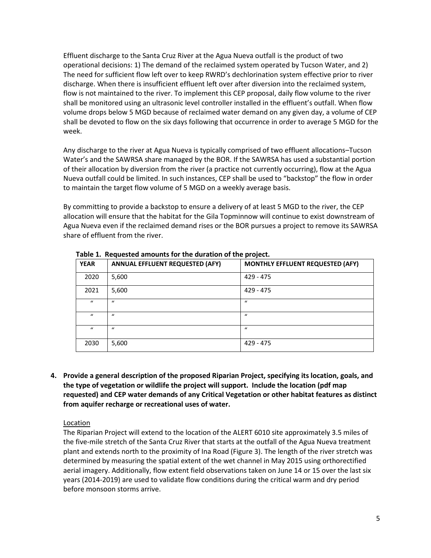Effluent discharge to the Santa Cruz River at the Agua Nueva outfall is the product of two operational decisions: 1) The demand of the reclaimed system operated by Tucson Water, and 2) The need for sufficient flow left over to keep RWRD's dechlorination system effective prior to river discharge. When there is insufficient effluent left over after diversion into the reclaimed system, flow is not maintained to the river. To implement this CEP proposal, daily flow volume to the river shall be monitored using an ultrasonic level controller installed in the effluent's outfall. When flow volume drops below 5 MGD because of reclaimed water demand on any given day, a volume of CEP shall be devoted to flow on the six days following that occurrence in order to average 5 MGD for the week.

Any discharge to the river at Agua Nueva is typically comprised of two effluent allocations–Tucson Water's and the SAWRSA share managed by the BOR. If the SAWRSA has used a substantial portion of their allocation by diversion from the river (a practice not currently occurring), flow at the Agua Nueva outfall could be limited. In such instances, CEP shall be used to "backstop" the flow in order to maintain the target flow volume of 5 MGD on a weekly average basis.

By committing to provide a backstop to ensure a delivery of at least 5 MGD to the river, the CEP allocation will ensure that the habitat for the Gila Topminnow will continue to exist downstream of Agua Nueva even if the reclaimed demand rises or the BOR pursues a project to remove its SAWRSA share of effluent from the river.

| <b>YEAR</b>  | <b>ANNUAL EFFLUENT REQUESTED (AFY)</b> | MONTHLY EFFLUENT REQUESTED (AFY) |
|--------------|----------------------------------------|----------------------------------|
| 2020         | 5,600                                  | $429 - 475$                      |
| 2021         | 5,600                                  | 429 - 475                        |
| $\iota$      | $\iota$                                | $\mathbf{u}$                     |
| $\mathbf{u}$ | $\mathbf{u}$                           | $\mathbf{u}$                     |
| $\iota$      | $\mathbf{u}$                           | $\mathbf{u}$                     |
| 2030         | 5,600                                  | $429 - 475$                      |

**Table 1. Requested amounts for the duration of the project.**

**4. Provide a general description of the proposed Riparian Project, specifying its location, goals, and the type of vegetation or wildlife the project will support. Include the location (pdf map requested) and CEP water demands of any Critical Vegetation or other habitat features as distinct from aquifer recharge or recreational uses of water.** 

## Location

The Riparian Project will extend to the location of the ALERT 6010 site approximately 3.5 miles of the five-mile stretch of the Santa Cruz River that starts at the outfall of the Agua Nueva treatment plant and extends north to the proximity of Ina Road (Figure 3). The length of the river stretch was determined by measuring the spatial extent of the wet channel in May 2015 using orthorectified aerial imagery. Additionally, flow extent field observations taken on June 14 or 15 over the last six years (2014-2019) are used to validate flow conditions during the critical warm and dry period before monsoon storms arrive.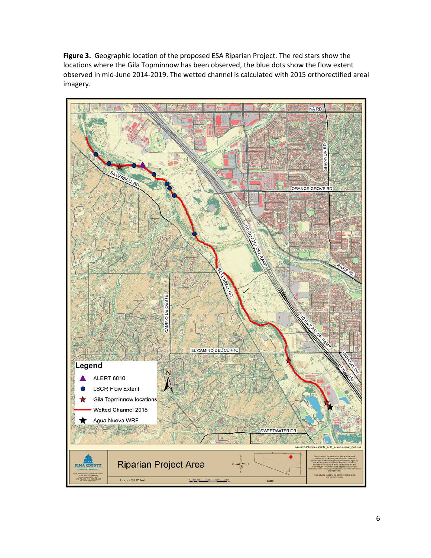**Figure 3.** Geographic location of the proposed ESA Riparian Project. The red stars show the locations where the Gila Topminnow has been observed, the blue dots show the flow extent observed in mid-June 2014-2019. The wetted channel is calculated with 2015 orthorectified areal imagery.

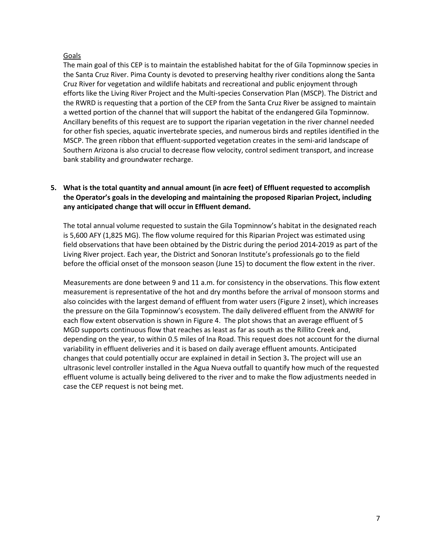#### Goals

The main goal of this CEP is to maintain the established habitat for the of Gila Topminnow species in the Santa Cruz River. Pima County is devoted to preserving healthy river conditions along the Santa Cruz River for vegetation and wildlife habitats and recreational and public enjoyment through efforts like the Living River Project and the Multi-species Conservation Plan (MSCP). The District and the RWRD is requesting that a portion of the CEP from the Santa Cruz River be assigned to maintain a wetted portion of the channel that will support the habitat of the endangered Gila Topminnow. Ancillary benefits of this request are to support the riparian vegetation in the river channel needed for other fish species, aquatic invertebrate species, and numerous birds and reptiles identified in the MSCP. The green ribbon that effluent-supported vegetation creates in the semi-arid landscape of Southern Arizona is also crucial to decrease flow velocity, control sediment transport, and increase bank stability and groundwater recharge.

## **5. What is the total quantity and annual amount (in acre feet) of Effluent requested to accomplish the Operator's goals in the developing and maintaining the proposed Riparian Project, including any anticipated change that will occur in Effluent demand.**

The total annual volume requested to sustain the Gila Topminnow's habitat in the designated reach is 5,600 AFY (1,825 MG). The flow volume required for this Riparian Project was estimated using field observations that have been obtained by the Distric during the period 2014-2019 as part of the Living River project. Each year, the District and Sonoran Institute's professionals go to the field before the official onset of the monsoon season (June 15) to document the flow extent in the river.

Measurements are done between 9 and 11 a.m. for consistency in the observations. This flow extent measurement is representative of the hot and dry months before the arrival of monsoon storms and also coincides with the largest demand of effluent from water users (Figure 2 inset), which increases the pressure on the Gila Topminnow's ecosystem. The daily delivered effluent from the ANWRF for each flow extent observation is shown in Figure 4. The plot shows that an average effluent of 5 MGD supports continuous flow that reaches as least as far as south as the Rillito Creek and, depending on the year, to within 0.5 miles of Ina Road. This request does not account for the diurnal variability in effluent deliveries and it is based on daily average effluent amounts. Anticipated changes that could potentially occur are explained in detail in Section 3**.** The project will use an ultrasonic level controller installed in the Agua Nueva outfall to quantify how much of the requested effluent volume is actually being delivered to the river and to make the flow adjustments needed in case the CEP request is not being met.